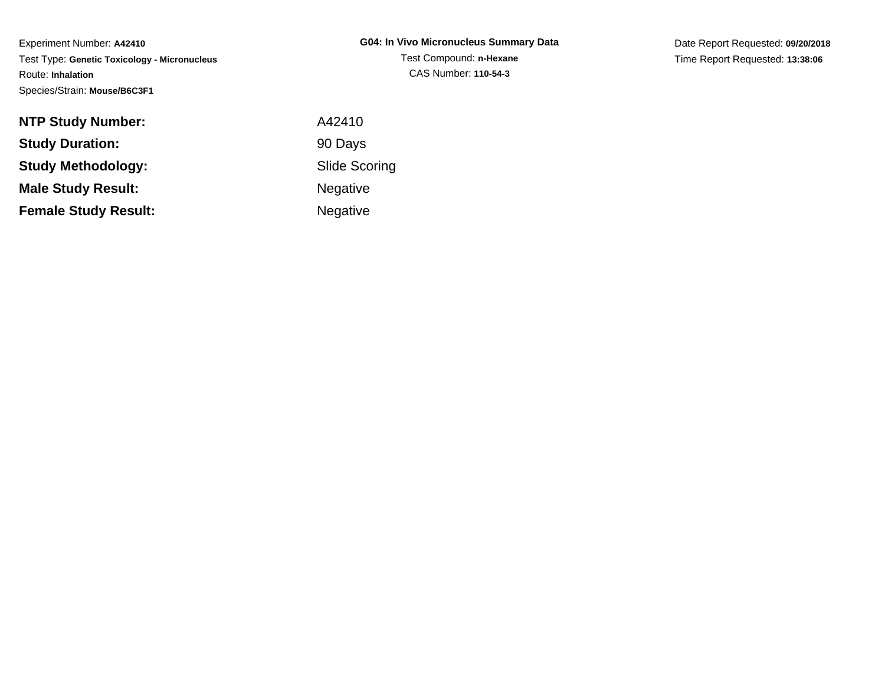Experiment Number: **A42410** Test Type: **Genetic Toxicology - Micronucleus**Route: **Inhalation**Species/Strain: **Mouse/B6C3F1**

Date Report Requested: **09/20/2018**Time Report Requested: **13:38:06**

| <b>NTP Study Number:</b>    | A42410               |
|-----------------------------|----------------------|
| <b>Study Duration:</b>      | 90 Days              |
| <b>Study Methodology:</b>   | <b>Slide Scoring</b> |
| <b>Male Study Result:</b>   | <b>Negative</b>      |
| <b>Female Study Result:</b> | <b>Negative</b>      |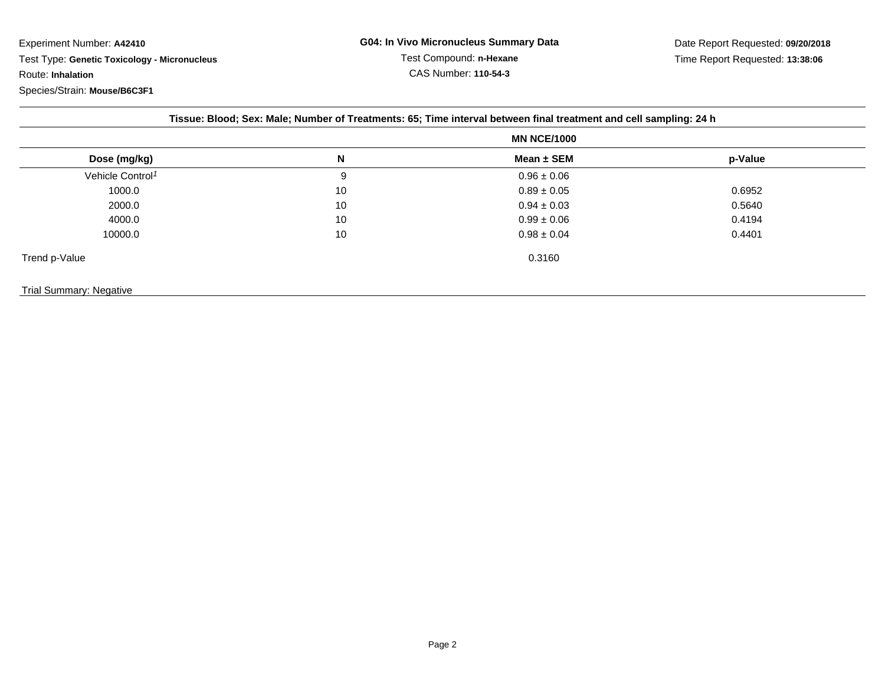Experiment Number: **A42410** Test Type: **Genetic Toxicology - Micronucleus**Route: **Inhalation**Species/Strain: **Mouse/B6C3F1**

| Tissue: Blood; Sex: Male; Number of Treatments: 65; Time interval between final treatment and cell sampling: 24 h |    |                    |         |  |  |
|-------------------------------------------------------------------------------------------------------------------|----|--------------------|---------|--|--|
|                                                                                                                   |    | <b>MN NCE/1000</b> |         |  |  |
| Dose (mg/kg)                                                                                                      | N  | Mean $\pm$ SEM     | p-Value |  |  |
| Vehicle Control <sup>1</sup>                                                                                      | 9  | $0.96 \pm 0.06$    |         |  |  |
| 1000.0                                                                                                            | 10 | $0.89 \pm 0.05$    | 0.6952  |  |  |
| 2000.0                                                                                                            | 10 | $0.94 \pm 0.03$    | 0.5640  |  |  |
| 4000.0                                                                                                            | 10 | $0.99 \pm 0.06$    | 0.4194  |  |  |
| 10000.0                                                                                                           | 10 | $0.98 \pm 0.04$    | 0.4401  |  |  |
| Trend p-Value                                                                                                     |    | 0.3160             |         |  |  |
| Trial Summary: Negative                                                                                           |    |                    |         |  |  |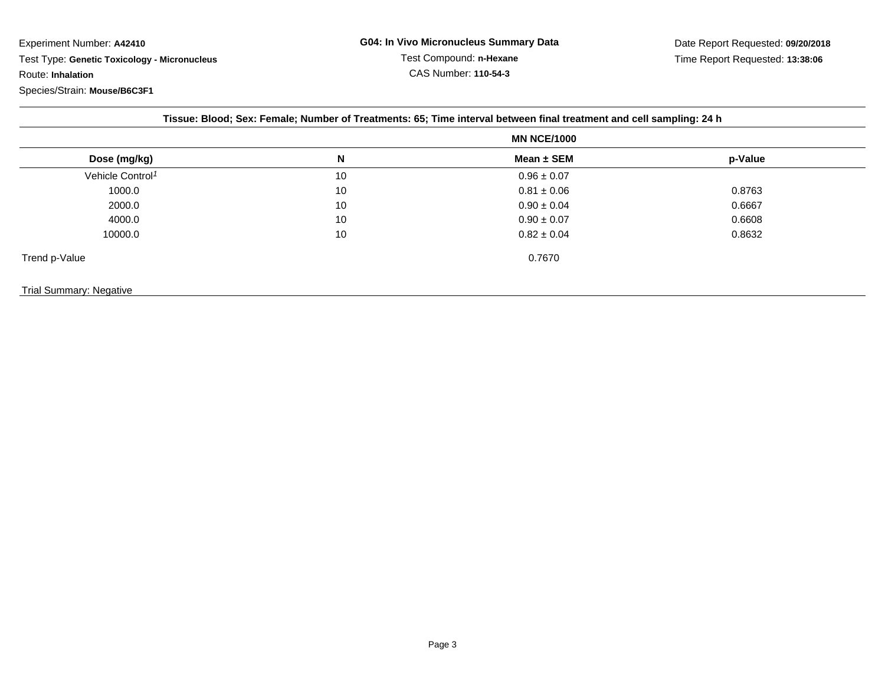Experiment Number: **A42410** Test Type: **Genetic Toxicology - Micronucleus**Route: **Inhalation**

| Tissue: Blood; Sex: Female; Number of Treatments: 65; Time interval between final treatment and cell sampling: 24 h |                    |                 |         |  |  |  |
|---------------------------------------------------------------------------------------------------------------------|--------------------|-----------------|---------|--|--|--|
|                                                                                                                     | <b>MN NCE/1000</b> |                 |         |  |  |  |
| Dose (mg/kg)                                                                                                        | N                  | Mean $\pm$ SEM  | p-Value |  |  |  |
| Vehicle Control <sup>1</sup>                                                                                        | 10                 | $0.96 \pm 0.07$ |         |  |  |  |
| 1000.0                                                                                                              | 10                 | $0.81 \pm 0.06$ | 0.8763  |  |  |  |
| 2000.0                                                                                                              | 10                 | $0.90 \pm 0.04$ | 0.6667  |  |  |  |
| 4000.0                                                                                                              | 10                 | $0.90 \pm 0.07$ | 0.6608  |  |  |  |
| 10000.0                                                                                                             | 10                 | $0.82 \pm 0.04$ | 0.8632  |  |  |  |
| Trend p-Value                                                                                                       |                    | 0.7670          |         |  |  |  |
| Trial Summary: Negative                                                                                             |                    |                 |         |  |  |  |